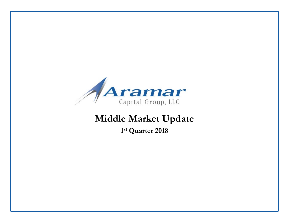

# **Middle Market Update**

**1st Quarter 2018**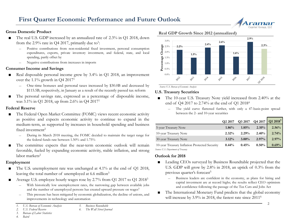

#### **Gross Domestic Product**

- The real U.S. GDP increased by an annualized rate of 2.3% in Q1 2018, down from the 2.9% rate in Q4 2017, primarily due to<sup>1</sup>:
	- ― Positive contributions from non-residential fixed investment, personal consumption expenditures, exports, private inventory investment, and federal, state, and local spending, partly offset by
	- ― Negative contributions from increases in imports

#### **Consumer Income and Savings**

- Real disposable personal income grew by 3.4% in Q1 2018, an improvement over the 1.1% growth in Q4 20171
	- ― One-time bonuses and personal taxes increased by \$30.0B and decreased by \$115.5B, respectively, in January as a result of the recently passed tax reform
- The personal savings rate, expressed as a percentage of disposable income, was 3.1% in Q1 2018, up from 2.6% in Q4 20171

#### **Federal Reserve**

- The Federal Open Market Committee (FOMC) views recent economic activity as positive and expects economic activity to continue to expand in the medium-term, as supported by increases in household spending and business fixed investment<sup>2</sup>
	- ― During its March 2018 meeting, the FOMC decided to maintain the target range for the federal funds rate between 1.50% and 1.75%
- The committee expects that the near-term economic outlook will remain favorable, fueled by expanding economic activity, stable inflation, and strong labor markets<sup>2</sup>

#### **Employment**

- The U.S. unemployment rate was unchanged at 4.1% at the end of Q1 2018, leaving the total number of unemployed at 6.6 million<sup>3</sup>
- Average U.S. employee hourly wages rose by 2.7% from Q1 2017 to Q1 2018<sup>3</sup>
	- With historically low unemployment rates, the narrowing gap between available jobs and the number of unemployed persons has created upward pressure on wages<sup>5</sup>
	- This pressure has been mitigated by economic globalization, the decline of unions, and improvements in technology and automation
	- *1. U.S. Bureau of Economic Analysis*



*4. Baird*

#### **Real GDP Growth Since 2012 (annualized)**



*Source: U.S. Bureau of Economic Analysis* 

#### **U.S. Treasury Securities**

- The 10-year U.S. Treasury Note yield increased from 2.40% at the end of Q4 2017 to 2.74% at the end of Q1 20184
	- The yield curve flattened further, with only a 47-basis-point spread between the 2- and 10-year securities

|                                               | O <sub>2</sub> 2017 | O3 2017  | Q4 2017  | Q1 2018 <sup>5</sup> |
|-----------------------------------------------|---------------------|----------|----------|----------------------|
| 5-year Treasury Note                          | 1.86%               | 1.85%    | $2.10\%$ | 2.56%                |
| 10-year Treasury Note                         | 2.32%               | 2.29%    | 2.40%    | 2.74%                |
| 30-year Treasury Note                         | $3.12\%$            | $3.00\%$ | 2.97%    | 2.97%                |
| 10-year Treasury Inflation Protected Security | $0.44\%$            | 0.45%    | 0.50%    | 0.69%                |
| Source: U.S. Department of Treasury           |                     |          |          |                      |

#### **Outlook for 2018**

- Leading CEOs surveyed by Business Roundtable projected that the U.S. GDP will grow by 2.8% in 2018, an uptick of 0.3% from the previous quarter's forecast<sup>5</sup>
	- ― Business leaders are confident in the economy, as plans for hiring and capital investment are at record highs; the results reflect CEO optimism and confidence following the passage of the Tax Cuts and Jobs Act
- The International Monetary Fund predicts that the global economy will increase by 3.9% in 2018, the fastest rate since 2011<sup>6</sup>

*<sup>2.</sup> U.S. Federal Reserve*

*<sup>5.</sup> Business Roundtable*

*<sup>6.</sup> The Wall Street Journal*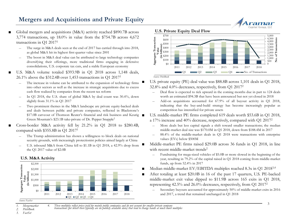### **Mergers and Acquisitions and Private Equity**

- Global mergers and acquisitions (M&A) activity reached \$890.7B across 3,774 transactions, up 18.0% in value from the \$754.7B across 4,672 transactions in Q1 20171
	- The surge in M&A deals seen at the end of 2017 has carried through into 2018, as global M&A hit its highest first quarter value since 2001
	- The boost in M&A deal value can be attributed to large technology companies diversifying their offerings, more traditional firms engaging in defensive consolidations, U.S. corporate tax cuts, and a stable European economy
- U.S. M&A volume totaled \$393.9B in Q1 2018 across 1,148 deals, 26.1% above the \$312.4B over 1,453 transactions in Q1 20171
	- The increase in volume can be attributed to the expansion of technology firms into other sectors as well as the increase in strategic acquisitions due to excess cash flow realized by companies from the recent tax reform
	- In Q1 2018, the U.S. share of global M&A by deal count was 30.4%, down slightly from 31.1% in Q1 2017
	- Two prominent themes in the M&A landscape are private equity-backed deals and deals between public and private companies, reflected in Blackstone's \$17.0B carveout of Thomson Reuter's financial and risk business and Keurig Green Mountain's \$23.1B take-private of Dr. Pepper Snapple2
- Cross-border M&A activity fell by 21.2% in Q1 2018 to \$280.4B, compared with \$355.8B in Q1 20171
	- The Trump administration has shown a willingness to block deals on national security grounds, with increasingly protectionist policies aimed largely at China
	- U.S. inbound M&A from China fell to \$1.1B in Q1 2018, a 42.9% drop from the Q1 2017 value of \$2.0B





**U.S. Private Equity Deal Flow**



U.S. private equity (PE) deal value was \$88.8B across 1,101 deals in Q1 2018, 32.8% and 4.0% decreases, respectively, from Q1 20172

- ― Deal flow is expected to tick upward in the coming months due in part to 124 deals worth an estimated \$94.3B that have been announced but not yet closed in 2018
- ― Add-on acquisitions accounted for 67.9% of all buyout activity in Q1 2018, indicating that the buy-and-build strategy has become increasingly popular as competition has intensified for private assets
- U.S. middle-market PE firms completed 619 deals worth \$53.6B in O1 2018,
- a 17% increase and 40% decrease, respectively, compared with Q1 20172
	- ― More deals but less capital signals a shift toward smaller transactions; the median middle-market deal size was \$170.0M in Q1 2018, down from \$188.4M in 2017
	- ― 88.4% of the middle-market deals in Q1 2018 were transactions with enterprise values (EVs) below \$500M
- Middle-market PE firms raised \$29.0B across 36 funds in Q1 2018, in line with recent middle-market trends<sup>2</sup>
	- ― Fundraising for mega-sized vehicles of \$5.0B or more slowed in the beginning of the year, resulting in 79.2% of the capital raised in Q1 2018 coming from middle-market funds, up from 52.4% in 2017
- Median middle-market EV/EBITDA multiples reached 8.3x in Q1 2018<sup>3,4</sup>
- After totaling at least \$20.0B in 16 of the past 17 quarters, U.S. PE-backed middle-market exit value dipped to \$11.9B across 165 exits in Q1 2018, representing 42.5% and 26.0% decreases, respectively, from Q1 20172
	- Secondary buyouts accounted for approximately 50% of middle-market exits in 2016 and 2017, a trend that remained unchanged in Q1 2018

4. These multiples reflect prices paid for mainly public companies and do not account for smaller private company<br>transactions (for which there typically are no publicly available data) that tend to change hands at muc

*2. PitchBook 3. FactSet*

*Source: FactSet*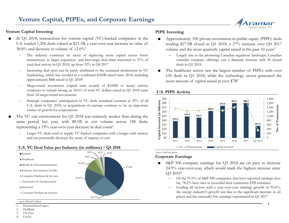#### **Venture Capital Investing**

- In Q1 2018, transactions for venture capital (VC)-backed companies in the U.S. totaled 1,206 deals valued at \$21.1B, a year-over-year increase in value of 38.8% and decrease in volume of  $12.0\%$ <sup>1</sup>
	- The industry continues its trend of deploying more capital across fewer transactions, as larger expansion- and later-stage deal share increased to 37% of total deal activity in Q1 2018, up from 32% in Q4 2017
	- ― Increasing deal sizes can be partly attributed to the sustained momentum in VC fundraising, which has resulted in a combined \$160B raised since 2014, including approximately \$8B raised in Q1 20182
	- ― Mega-round investment (capital raise rounds of \$100M or more) activity continues to remain strong, as 34.6% of total VC dollars raised in Q1 2018 came from 34 mega-round investments
	- Strategic companies' participation in VC deals remained constant at 25% of all U.S. deals in Q1 2018, as acquisitions of startups continue to be an important source of growth for corporations
- The VC exit environment for Q1 2018 was relatively weaker than during the same period last year, with \$8.1B in exit volume across 188 deals, representing a 19% year-over-year decrease in deal count<sup>2</sup>
	- Larger VC deals tend to supply VC-backed companies with a longer cash runway and can potentially decrease the sense of urgency to exit

#### **U.S. VC Deal Value per Industry (in millions) – Q1 2018** No. of Transactions



*<sup>1.</sup> PricewaterhouseCoopers* 

*4. FactSet*

#### **PIPE Investing**

- Approximately 350 private-investment-in-public-equity (PIPE) deals totaling \$27.9B closed in Q1 2018, a 27% increase over Q4 2017 volume and the most quarterly capital raised in the past 10 years<sup>3</sup>
	- ― Largely due to the promising Canadian regulatory landscape, Canadian cannabis company offerings saw a dramatic increase with 50 closed deals in Q1 2018
- The healthcare sector saw the largest number of PIPEs with over 150 deals in Q1 2018, while the technology sector generated the most amount of capital raised at over \$7B3



#### **U.S. PIPE Activity**

#### *Source: DealFlow Report*

#### **Corporate Earnings**

- S&P 500 company earnings for Q1 2018 are on pace to increase 24.9% year-over-year, which would mark the highest increase since Q3 20104
	- ― Of the 91.0% of S&P 500 companies that have reported earnings thus far, 78.2% have met or exceeded their consensus EPS estimates
	- ― Leading all sectors with a year-over-year earnings growth of 95.0%, the energy industry's growth was due to the significant increase in oil prices and the unusually low earnings experienced in Q1 2017



*<sup>2.</sup> PitchBook*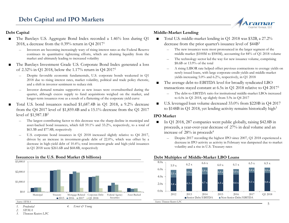#### **Debt Capital**

- The Barclays U.S. Aggregate Bond Index recorded a 1.46% loss during Q1 2018, a decrease from the 0.39% return in Q4 20171
	- ― Investors are becoming increasingly wary of rising interest rates as the Federal Reserve continues its quantitative tightening efforts, which are draining liquidity from the market and ultimately leading to increased volatility
- The Barclays Investment Grade U.S. Corporate Bond Index generated a loss of 2.32% in Q1 2018, below the 1.17% return in Q4 20171
	- ― Despite favorable economic fundamentals, U.S. corporate bonds weakened in Q1 2018 due to rising interest rates, market volatility, political and trade policy rhetoric, and a shift in investor sentiment to reduce risk
	- ― Investor demand remains supportive as new issues were oversubscribed during the quarter, although excess supply to fund acquisitions weighed on the market, and longer-term issuances rose as a result of a flattening of the corporate yield curve
- Total U.S. bond issuances reached \$1,687.4B in Q1 2018, a 9.2% decrease from the Q4 2017 level of \$1,859.4B and a 15.1% decrease from the Q1 2017 level of \$1,987.1B2
	- The largest contributing factor to this decrease was the sharp decline in municipal and asset-backed bond issuances, which fell 59.1% and 33.2%, respectively, to a total of \$63.3B and \$77.8B, respectively
	- U.S. corporate bond issuances in Q1 2018 increased slightly relative to Q4 2017, driven by an increase in investment-grade debt of 22.0%, which was offset by a decrease in high-yield debt of 10.4%; total investment-grade and high-yield issuances in Q1 2018 were \$261.6B and \$68.8B, respectively

#### \$0.0 \$1,000.0 \$2,000.0 \$3,000.0 Municipal Treasury Mortgage-Related Corporate Debt Federal Agency **Securities** Asset-Backed  $2015$   $2016$   $2017$   $\Box$  01 2018 *Source: SIFMA 1. Prudential 4. Ernst & Young*

#### **Issuances in the U.S. Bond Market (\$ billions)**

### **Middle-Market Lending**

- Total U.S. middle-market lending in Q1 2018 was \$32B, a 27.2% decrease from the prior quarter's issuance level of \$44B<sup>3</sup>
	- ― The new issuances were most pronounced in the larger segment of the middle market (\$100M to \$500M), accounting for 84% of Q1 2018 volume

Capital Group, LLC

- The technology sector led the way for new issuance volume, comprising \$8.6B or 13.9% of the total
- ― A rising LIBOR rate helped offset previous contractions to average yields on newly issued loans, with large corporate-credit yields and middle-market yields increasing 5.0% and 6.2%, respectively, in Q1 2018
- The average debt-to-EBITDA level for broadly syndicated LBO transactions stayed constant at 6.5x in Q1 2018 relative to Q4 20173
	- ― The debt-to-EBITDA ratio for institutional middle-market LBOs increased to 6.0x in Q1 2018, up slightly from 5.9x in Q4 2017
- U.S. leveraged loan volume decreased 33.0% from \$220B in Q4 2017 to \$148B in O1 2018, yet lending activity remains historically high<sup>3</sup>

#### **IPO Market**

- In Q1 2018, 287 companies went public globally, raising \$42.8B in proceeds, a year-over-year decrease of 27% in deal volume and an increase of 28% in proceeds4
	- Despite 2017 recording the highest IPO since 2007, Q1 2018 experienced a decrease in IPO activity as activity in February was dampened due to market volatility and a rise in U.S. Treasury rates

#### **Debt Multiples of Middle-Market LBO Loans**



*2. SIFMA*

*3. Thomson Reuters LPC*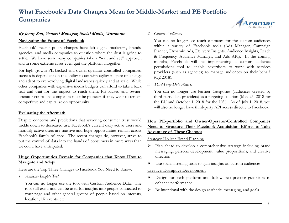### By Jenny Son, General Manager, Social Media, Wpromote

#### **Navigating the Future of Facebook**

Facebook's recent policy changes have left digital marketers, brands, agencies, and media companies to question where the dust is going to settle. We have seen many companies take a "wait and see" approach and in some extreme cases even quit the platform altogether.

For high-growth PE-backed and owner-operator-controlled companies, success is dependent on the ability to act with agility in spite of change and adapt to ever-evolving digital landscapes quickly and at scale. While other companies with expansive media budgets can afford to take a back seat and wait for the impact to reach them, PE-backed and owneroperator-controlled companies must be pioneers if they want to remain competitive and capitalize on opportunity.

#### **Evaluating the Aftermath**

Despite concerns and predictions that wavering consumer trust would trickle down to decreased use, Facebook's current daily active users and monthly active users are massive and huge opportunities remain across Facebook's family of apps. The recent changes do, however, strive to put the control of data into the hands of consumers in more ways than we could have anticipated.

#### **Huge Opportunities Remain for Companies that Know How to Navigate and Adapt**

#### Here are the Top Three Changes to Facebook You Need to Know:

*1. Audience Insights Tool:*

You can no longer use the tool with Custom Audience Data. The tool still exists and can be used for insights into people connected to your page and other general groups of people based on interests, location, life events, etc.

#### *2. Custom Audiences:*

You can no longer see reach estimates for the custom audiences within a variety of Facebook tools (Ads Manager, Campaign Planner, Dynamic Ads, Delivery Insights, Audience Insights, Reach & Frequency, Audience Manager, and Ads API). In the coming months, Facebook will be implementing a custom audience permissions tool to enable advertisers to work with services providers (such as agencies) to manage audiences on their behalf (Q2 2018).

*3. Third-Party Data Access:*

You can no longer use Partner Categories (audiences created by third-party data providers) as a targeting solution (May 25, 2018 for the EU and October 1, 2018 for the U.S.). As of July 1, 2018, you will also no longer have third-party API access directly to Facebook.

#### **How PE-portfolio and Owner-Operator-Controlled Companies Need to Structure Their Facebook Acquisition Efforts to Take Advantage of These Changes**

#### Strategy: Holistic Brand Planning

- $\triangleright$  Plan ahead to develop a comprehensive strategy, including brand messaging, persona development, value propositions, and creative direction
- $\triangleright$  Use social listening tools to gain insights on custom audiences

#### Creative: Disruptive Development

- Design for each platform and follow best-practice guidelines to enhance performance
- $\triangleright$  Be intentional with the design aesthetic, messaging, and goals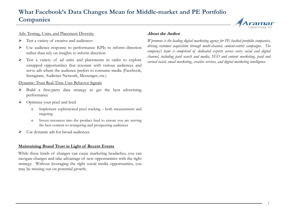## **What Facebook's Data Changes Mean for Middle-market and PE Portfolio Companies**

#### Ads: Testing, Units, and Placement Diversity

- $\triangleright$  Test a variety of creative and audiences
- Use audience response to performance KPIs to inform direction rather than rely on insights to inform direction
- Test a variety of ad units and placements in order to explore untapped opportunities that resonate with various audiences and serve ads where the audience prefers to consume media (Facebook, Instagram, Audience Network, Messenger, etc.)

#### Dynamic: Trust Real-Time User Behavior Signals

- $\triangleright$  Build a first-party data strategy to get the best advertising performance
- $\triangleright$  Optimize your pixel and feed
	- o Implement sophisticated pixel tracking both measurement and targeting
	- o Invest resources into the product feed to ensure you are serving the best content to retargeting and prospecting audiences
- Use dynamic ads for broad audiences

#### **Maintaining Brand Trust in Light of Recent Events**

While these kinds of changes can cause marketing headaches, you can navigate changes and take advantage of new opportunities with the right strategy. Without leveraging the right social media opportunities, you may be missing out on potential growth.

#### About the Author

*Wpromote is the leading digital marketing agency for PE-backed portfolio companies, driving customer acquisition through multi-channel, content-centric campaigns. The company's team is comprised of dedicated experts across every social and digital channel, including paid search and media, SEO and content marketing, paid and earned social, email marketing, creative services, and digital marketing intelligence.*